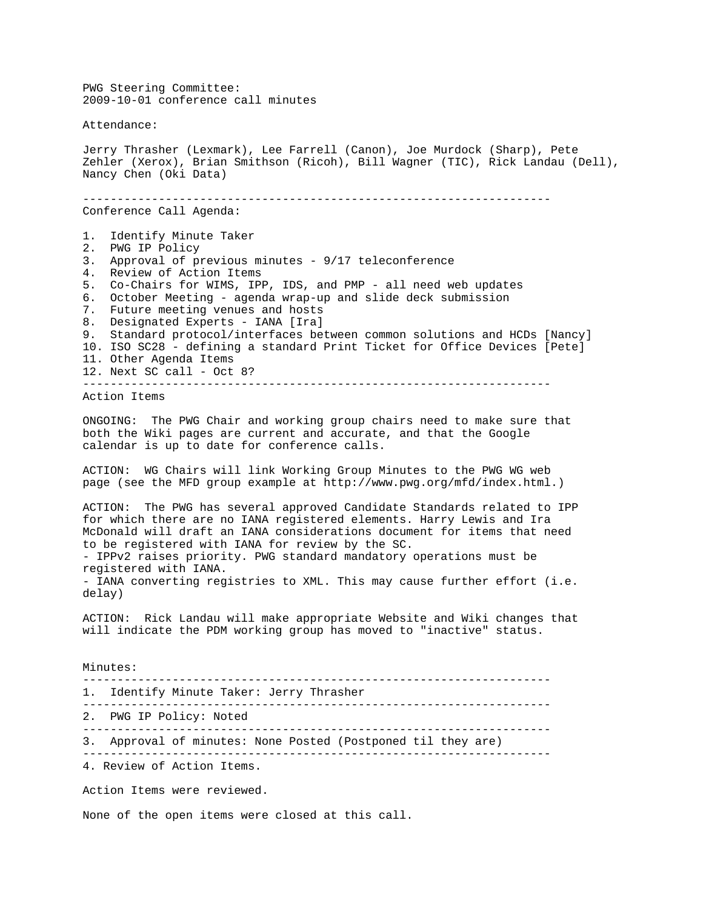PWG Steering Committee: 2009-10-01 conference call minutes Attendance: Jerry Thrasher (Lexmark), Lee Farrell (Canon), Joe Murdock (Sharp), Pete Zehler (Xerox), Brian Smithson (Ricoh), Bill Wagner (TIC), Rick Landau (Dell), Nancy Chen (Oki Data) -------------------------------------------------------------------- Conference Call Agenda: 1. Identify Minute Taker 2. PWG IP Policy 3. Approval of previous minutes - 9/17 teleconference 4. Review of Action Items 5. Co-Chairs for WIMS, IPP, IDS, and PMP - all need web updates 6. October Meeting - agenda wrap-up and slide deck submission 7. Future meeting venues and hosts 8. Designated Experts - IANA [Ira] 9. Standard protocol/interfaces between common solutions and HCDs [Nancy] 10. ISO SC28 - defining a standard Print Ticket for Office Devices [Pete] 11. Other Agenda Items 12. Next SC call - Oct 8? -------------------------------------------------------------------- Action Items ONGOING: The PWG Chair and working group chairs need to make sure that both the Wiki pages are current and accurate, and that the Google calendar is up to date for conference calls. ACTION: WG Chairs will link Working Group Minutes to the PWG WG web page (see the MFD group example at http://www.pwg.org/mfd/index.html.) ACTION: The PWG has several approved Candidate Standards related to IPP for which there are no IANA registered elements. Harry Lewis and Ira McDonald will draft an IANA considerations document for items that need to be registered with IANA for review by the SC. - IPPv2 raises priority. PWG standard mandatory operations must be registered with IANA. - IANA converting registries to XML. This may cause further effort (i.e. delay) ACTION: Rick Landau will make appropriate Website and Wiki changes that will indicate the PDM working group has moved to "inactive" status. Minutes: -------------------------------------------------------------------- 1. Identify Minute Taker: Jerry Thrasher -------------------------------------------------------------------- 2. PWG IP Policy: Noted -------------------------------------------------------------------- 3. Approval of minutes: None Posted (Postponed til they are) -------------------------------------------------------------------- 4. Review of Action Items. Action Items were reviewed.

None of the open items were closed at this call.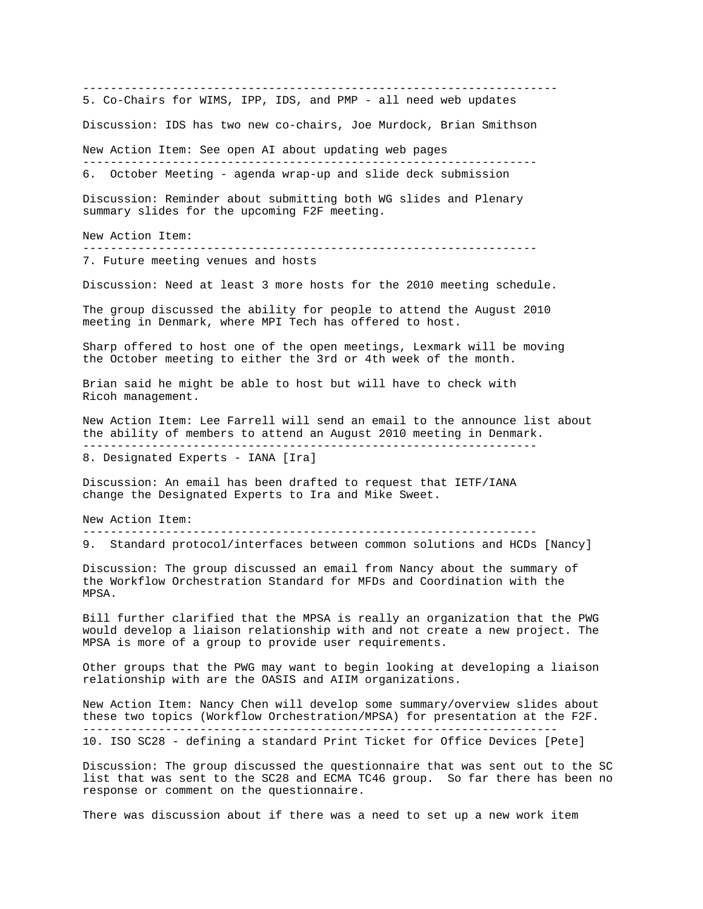--------------------------------------------------------------------- 5. Co-Chairs for WIMS, IPP, IDS, and PMP - all need web updates Discussion: IDS has two new co-chairs, Joe Murdock, Brian Smithson New Action Item: See open AI about updating web pages ------------------------------------------------------------------ 6. October Meeting - agenda wrap-up and slide deck submission Discussion: Reminder about submitting both WG slides and Plenary summary slides for the upcoming F2F meeting. New Action Item: ------------------------------------------------------------------ 7. Future meeting venues and hosts Discussion: Need at least 3 more hosts for the 2010 meeting schedule. The group discussed the ability for people to attend the August 2010 meeting in Denmark, where MPI Tech has offered to host. Sharp offered to host one of the open meetings, Lexmark will be moving the October meeting to either the 3rd or 4th week of the month. Brian said he might be able to host but will have to check with Ricoh management. New Action Item: Lee Farrell will send an email to the announce list about the ability of members to attend an August 2010 meeting in Denmark. ------------------------------------------------------------------ 8. Designated Experts - IANA [Ira] Discussion: An email has been drafted to request that IETF/IANA change the Designated Experts to Ira and Mike Sweet. New Action Item: ------------------------------------------------------------------ 9. Standard protocol/interfaces between common solutions and HCDs [Nancy] Discussion: The group discussed an email from Nancy about the summary of the Workflow Orchestration Standard for MFDs and Coordination with the MPSA. Bill further clarified that the MPSA is really an organization that the PWG would develop a liaison relationship with and not create a new project. The MPSA is more of a group to provide user requirements. Other groups that the PWG may want to begin looking at developing a liaison relationship with are the OASIS and AIIM organizations. New Action Item: Nancy Chen will develop some summary/overview slides about these two topics (Workflow Orchestration/MPSA) for presentation at the F2F. --------------------------------------------------------------------- 10. ISO SC28 - defining a standard Print Ticket for Office Devices [Pete] Discussion: The group discussed the questionnaire that was sent out to the SC list that was sent to the SC28 and ECMA TC46 group. So far there has been no

There was discussion about if there was a need to set up a new work item

response or comment on the questionnaire.